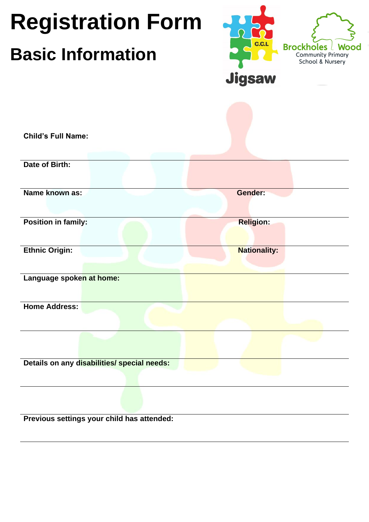| <b>Child's Full Name:</b>                   | <b>C.C.L</b><br><b>Brockholes</b> L<br>Wood<br>Community Primary<br>School & Nursery |
|---------------------------------------------|--------------------------------------------------------------------------------------|
|                                             | <b>Jigsaw</b>                                                                        |
|                                             |                                                                                      |
| Date of Birth:                              |                                                                                      |
| Name known as:                              | <b>Gender:</b>                                                                       |
| <b>Position in family:</b>                  | <b>Religion:</b>                                                                     |
| <b>Ethnic Origin:</b>                       | <b>Nationality:</b>                                                                  |
| Language spoken at home:                    |                                                                                      |
| <b>Home Address:</b>                        |                                                                                      |
|                                             |                                                                                      |
| Details on any disabilities/ special needs: |                                                                                      |
| Previous settings your child has attended:  |                                                                                      |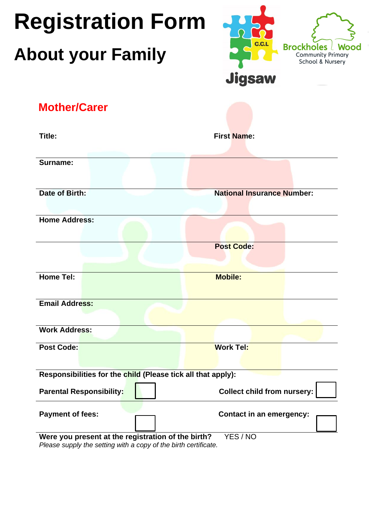### **Registration Form Brockholes About your Family Community Primary** School & Nursery **Jigsaw Mother/CarerTitle: First Name: Surname: Date of Birth:** National Insurance Number: **Home Address: Post Code: Home Tel:** Mobile: **Email Address:**

|                                                    | Responsibilities for the child (Please tick all that apply):      |                                 |
|----------------------------------------------------|-------------------------------------------------------------------|---------------------------------|
| <b>Parental Responsibility:</b>                    |                                                                   | Collect child from nursery:     |
| <b>Payment of fees:</b>                            |                                                                   | <b>Contact in an emergency:</b> |
| Were you present at the registration of the birth? | $D$ loose supply the softing with a seny of the hirth sertificate | YES / NO                        |

*Please supply the setting with a copy of the birth certificate.*

**Post Code:** Work Tel:

**Work Address:**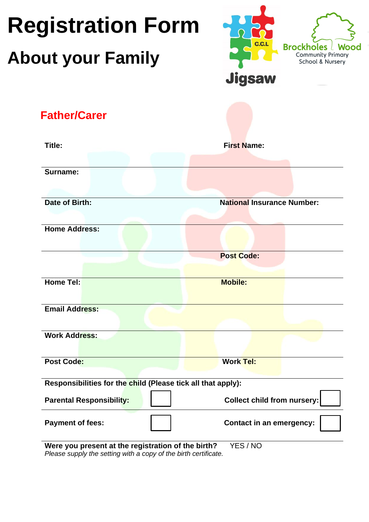### **Registration Form Brockholes About your Family Community Primary** School & Nursery **Jigsaw Father/CarerTitle: First Name: Surname: Date of Birth:** National Insurance Number: **Home Address: Post Code: Home Tel:** Mobile: Mobile: Mobile: Mobile: Mobile: Mobile: Mobile: Mobile: Mobile: Mobile: Mobile: Mobile: Mobile: Mobile: Mobile: Mobile: Mobile: Mobile: Mobile: Mobile: Mobile: Mobile: Mobile: Mobile: Mobile: Mobile: Mo **Email Address: Work Address: Post Code: Work Tel: Responsibilities for the child (Please tick all that apply):** Parental Responsibility:  $\begin{vmatrix} 1 & 1 \end{vmatrix}$  Collect child from nursery: **Payment of fees: Contact in an emergency:**

**Were you present at the registration of the birth?** YES / NO *Please supply the setting with a copy of the birth certificate.*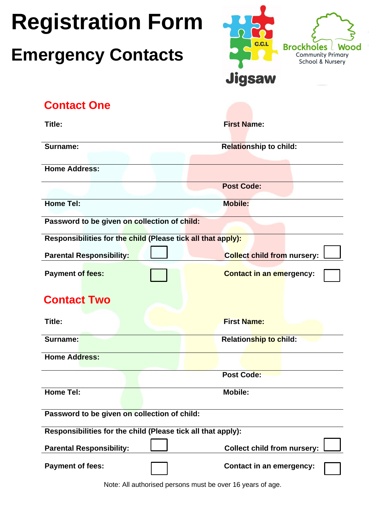### **Emergency Contacts**



|  | <b>Contact One</b> |
|--|--------------------|
|  |                    |

| Title:                                                       | <b>First Name:</b>                 |  |  |
|--------------------------------------------------------------|------------------------------------|--|--|
| Surname:                                                     | <b>Relationship to child:</b>      |  |  |
|                                                              |                                    |  |  |
| <b>Home Address:</b>                                         |                                    |  |  |
|                                                              | <b>Post Code:</b>                  |  |  |
| <b>Home Tel:</b>                                             | <b>Mobile:</b>                     |  |  |
| Password to be given on collection of child:                 |                                    |  |  |
| Responsibilities for the child (Please tick all that apply): |                                    |  |  |
| <b>Parental Responsibility:</b>                              | <b>Collect child from nursery:</b> |  |  |
| Payment of fees:                                             | <b>Contact in an emergency:</b>    |  |  |
| <b>Contact Two</b>                                           |                                    |  |  |
| Title:                                                       | <b>First Name:</b>                 |  |  |
| Surname:                                                     | <b>Relationship to child:</b>      |  |  |
| <b>Home Address:</b>                                         |                                    |  |  |
|                                                              | <b>Post Code:</b>                  |  |  |
| Home Tel:                                                    | <b>Mobile:</b>                     |  |  |
| Password to be given on collection of child:                 |                                    |  |  |
| Responsibilities for the child (Please tick all that apply): |                                    |  |  |
| <b>Parental Responsibility:</b>                              | <b>Collect child from nursery:</b> |  |  |
| <b>Payment of fees:</b>                                      | <b>Contact in an emergency:</b>    |  |  |

Note: All authorised persons must be over 16 years of age.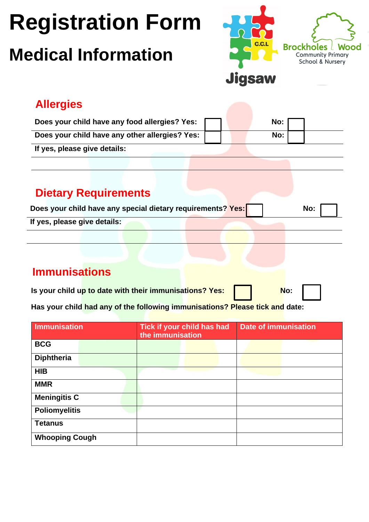### **Medical Information**



### **Allergies**

| Does your child have any food allergies? Yes:  |  | No: |  |
|------------------------------------------------|--|-----|--|
| Does your child have any other allergies? Yes: |  | No: |  |
| If yes, please give details:                   |  |     |  |

### **Dietary Requirements**

| Does your child have any special dietary requirements? Yes: | No: |
|-------------------------------------------------------------|-----|
| If yes, please give details:                                |     |
|                                                             |     |

### **Immunisations**

| Is your child up to date with their immunisations? Yes: |  | No: |  |
|---------------------------------------------------------|--|-----|--|
|                                                         |  |     |  |

**Has your child had any of the following immunisations? Please tick and date:**

| <b>Immunisation</b>   |  | the immunisation | Tick if your child has had | <b>Date of immunisation</b> |  |
|-----------------------|--|------------------|----------------------------|-----------------------------|--|
| <b>BCG</b>            |  |                  |                            |                             |  |
| <b>Diphtheria</b>     |  |                  |                            |                             |  |
| <b>HIB</b>            |  |                  |                            |                             |  |
| <b>MMR</b>            |  |                  |                            |                             |  |
| <b>Meningitis C</b>   |  |                  |                            |                             |  |
| <b>Poliomyelitis</b>  |  |                  |                            |                             |  |
| <b>Tetanus</b>        |  |                  |                            |                             |  |
| <b>Whooping Cough</b> |  |                  |                            |                             |  |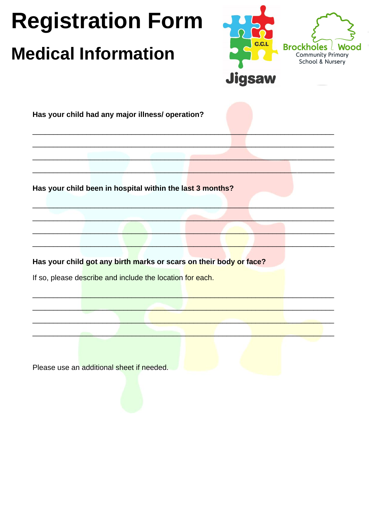### **Medical Information**



Has your child had any major illness/ operation?

Has your child been in hospital within the last 3 months?

Has your child got any birth marks or scars on their body or face?

If so, please describe and include the location for each.

Please use an additional sheet if needed.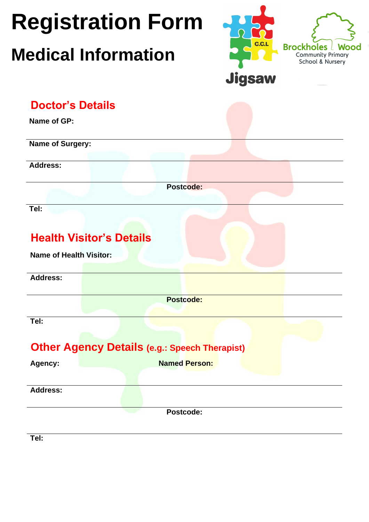|                                | <b>Registration Form</b>                             | <b>C.C.L</b>                                                             |
|--------------------------------|------------------------------------------------------|--------------------------------------------------------------------------|
|                                | <b>Medical Information</b>                           | <b>Brockholes   Wood</b><br><b>Community Primary</b><br>School & Nursery |
|                                |                                                      | <b>Jigsaw</b>                                                            |
| <b>Doctor's Details</b>        |                                                      |                                                                          |
| Name of GP:                    |                                                      |                                                                          |
| Name of Surgery:               |                                                      |                                                                          |
| <b>Address:</b>                |                                                      |                                                                          |
|                                | <b>Postcode:</b>                                     |                                                                          |
| Tel:                           |                                                      |                                                                          |
| <b>Name of Health Visitor:</b> | <b>Health Visitor's Details</b>                      |                                                                          |
| <b>Address:</b>                |                                                      |                                                                          |
|                                | <b>Postcode:</b>                                     |                                                                          |
| Tel:                           |                                                      |                                                                          |
|                                | <b>Other Agency Details (e.g.: Speech Therapist)</b> |                                                                          |
| Agency:                        | <b>Named Person:</b>                                 |                                                                          |
| <b>Address:</b>                |                                                      |                                                                          |
|                                |                                                      |                                                                          |

**Tel:**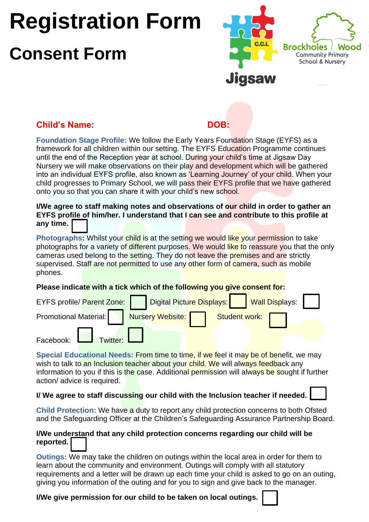### **Consent Form**



#### **Child's Name: DOB:**

**Foundation Stage Profile:** We follow the Early Years Foundation Stage (EYFS) as a framework for all children within our setting. The EYFS Education Programme continues until the end of the Reception year at school. During your child's time at Jigsaw Day Nursery we will make observations on their play and development which will be gathered into an individual EYFS profile, also known as 'Learning Journey' of your child. When your child progresses to Primary School, we will pass their EYFS profile that we have gathered onto you so that you can share it with your child's new school.

**I/We agree to staff making notes and observations of our child in order to gather an EYFS profile of him/her. I understand that I can see and contribute to this profile at any time.**

Photographs: Whilst your child is at the setting we would like your permission to take photographs for a variety of different purposes. We would like to reassure you that the only cameras used belong to the setting. They do not leave the premises and are strictly supervised. Staff are not permitted to use any other form of camera, such as mobile phones.

**Please indicate with a tick which of the following you give consent for:**

| EYFS profile/ Parent Zone: |                                                      |  | Digital Picture Displays: Wall Displays: |  |
|----------------------------|------------------------------------------------------|--|------------------------------------------|--|
|                            | Promotional Material: Nursery Website: Student work: |  |                                          |  |
| Facebook: Twitter:         |                                                      |  |                                          |  |

**Special Educational Needs:** From time to time, if we feel it may be of benefit, we may wish to talk to an Inclusion teacher about your child. We will always feedback any information to you if this is the case. Additional permission will always be sought if further action/ advice is required.

#### **I/ We agree to staff discussing our child with the Inclusion teacher if needed.**

**Child Protection:** We have a duty to report any child protection concerns to both Ofsted and the Safeguarding Officer at the Children's Safeguarding Assurance Partnership Board.

#### **I/We understand that any child protection concerns regarding our child will be reported.**

**Outings:** We may take the children on outings within the local area in order for them to learn about the community and environment. Outings will comply with all statutory requirements and a letter will be drawn up each time your child is asked to go on an outing, giving you information of the outing and for you to sign and give back to the manager.

**I/We give permission for our child to be taken on local outings.**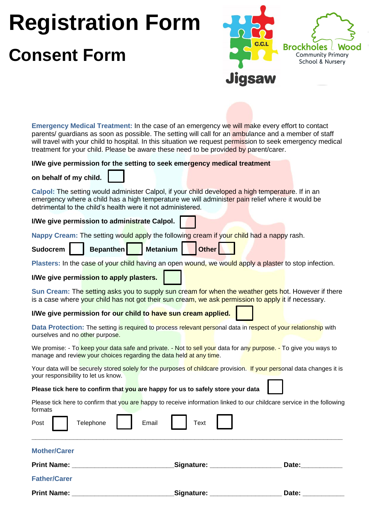# **Registration Form Consent Form**



**Emergency Medical Treatment:** In the case of an emergency we will make every effort to contact parents/ guardians as soon as possible. The setting will call for an ambulance and a member of staff will travel with your child to hospital. In this situation we request permission to seek emergency medical treatment for your child. Please be aware these need to be provided by parent/carer.

#### **I/We give permission for the setting to seek emergency medical treatment**

**on behalf of my child.** 

**Calpol:** The setting would administer Calpol, if your child developed a high temperature. If in an emergency where a child has a high temperature we will administer pain relief where it would be detrimental to the child's health were it not administered.

**I/We give permission to administrate Calpol.**

**Nappy Cream:** The setting would apply the following cream if your child had a nappy rash.

Sudocrem | Bepanthen Metanium | Other

**Plasters:** In the case of your child having an open wound, we would apply a plaster to stop infection.

**I/We give permission to apply plasters.**

**Sun Cream:** The setting asks you to supply sun cream for when the weather gets hot. However if there is a case where your child has not got their sun cream, we ask permission to apply it if necessary.

**I/We give permission for our child to have sun cream applied.**

**Data Protection:** The setting is required to process relevant personal data in respect of your relationship with ourselves and no other purpose.

We promise: - To keep your data safe and private. - Not to sell your data for any purpose. - To give you ways to manage and review your choices regarding the data held at any time.

Your data will be securely stored solely for the purposes of childcare provision. If your personal data changes it is your responsibility to let us know.

**Please tick here to confirm that you are happy for us to safely store your data**

Please tick here to confirm that you are happy to receive information linked to our childcare service in the following formats

| Post $\vert$        | Telephone 7 | Email | Text                              |       |
|---------------------|-------------|-------|-----------------------------------|-------|
| <b>Mother/Carer</b> |             |       |                                   |       |
| <b>Print Name:</b>  |             |       | Signature: <u>_______________</u> | Date: |
| <b>Father/Carer</b> |             |       |                                   |       |
| <b>Print Name:</b>  |             |       | Signature:                        | Date: |